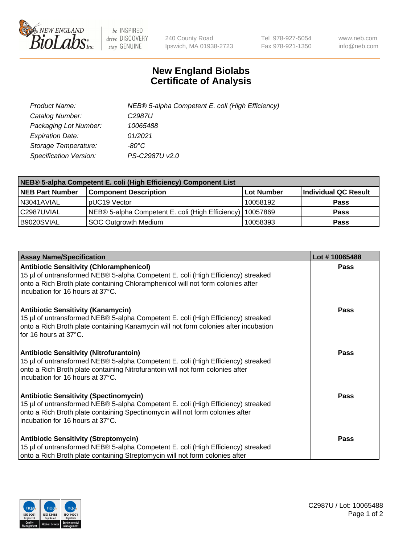

 $be$  INSPIRED drive DISCOVERY stay GENUINE

240 County Road Ipswich, MA 01938-2723 Tel 978-927-5054 Fax 978-921-1350 www.neb.com info@neb.com

## **New England Biolabs Certificate of Analysis**

| Product Name:                 | NEB® 5-alpha Competent E. coli (High Efficiency) |
|-------------------------------|--------------------------------------------------|
| Catalog Number:               | C <sub>2987</sub> U                              |
| Packaging Lot Number:         | 10065488                                         |
| <b>Expiration Date:</b>       | 01/2021                                          |
| Storage Temperature:          | -80°C                                            |
| <b>Specification Version:</b> | PS-C2987U v2.0                                   |

| NEB® 5-alpha Competent E. coli (High Efficiency) Component List |                                                  |             |                      |  |
|-----------------------------------------------------------------|--------------------------------------------------|-------------|----------------------|--|
| <b>NEB Part Number</b>                                          | <b>Component Description</b>                     | ⊺Lot Number | Individual QC Result |  |
| N3041AVIAL                                                      | pUC19 Vector                                     | 10058192    | <b>Pass</b>          |  |
| C2987UVIAL                                                      | NEB® 5-alpha Competent E. coli (High Efficiency) | 10057869    | <b>Pass</b>          |  |
| B9020SVIAL                                                      | <b>SOC Outgrowth Medium</b>                      | 10058393    | <b>Pass</b>          |  |

| <b>Assay Name/Specification</b>                                                                                                                                                                                                                            | Lot #10065488 |
|------------------------------------------------------------------------------------------------------------------------------------------------------------------------------------------------------------------------------------------------------------|---------------|
| <b>Antibiotic Sensitivity (Chloramphenicol)</b><br>15 µl of untransformed NEB® 5-alpha Competent E. coli (High Efficiency) streaked<br>onto a Rich Broth plate containing Chloramphenicol will not form colonies after<br>incubation for 16 hours at 37°C. | <b>Pass</b>   |
| <b>Antibiotic Sensitivity (Kanamycin)</b><br>15 µl of untransformed NEB® 5-alpha Competent E. coli (High Efficiency) streaked<br>onto a Rich Broth plate containing Kanamycin will not form colonies after incubation<br>for 16 hours at 37°C.             | Pass          |
| <b>Antibiotic Sensitivity (Nitrofurantoin)</b><br>15 µl of untransformed NEB® 5-alpha Competent E. coli (High Efficiency) streaked<br>onto a Rich Broth plate containing Nitrofurantoin will not form colonies after<br>incubation for 16 hours at 37°C.   | <b>Pass</b>   |
| <b>Antibiotic Sensitivity (Spectinomycin)</b><br>15 µl of untransformed NEB® 5-alpha Competent E. coli (High Efficiency) streaked<br>onto a Rich Broth plate containing Spectinomycin will not form colonies after<br>incubation for 16 hours at 37°C.     | Pass          |
| <b>Antibiotic Sensitivity (Streptomycin)</b><br>15 µl of untransformed NEB® 5-alpha Competent E. coli (High Efficiency) streaked<br>onto a Rich Broth plate containing Streptomycin will not form colonies after                                           | Pass          |